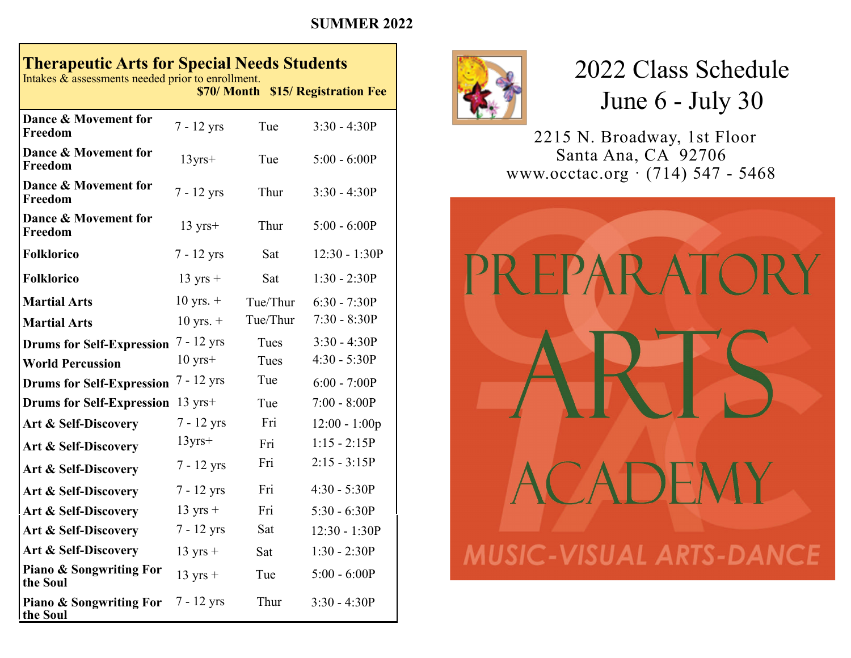## **SUMMER 2022**

## **Therapeutic Arts for Special Needs Students**

Intakes & assessments needed prior to enrollment. **\$70/ Month \$15/ Registration Fee**

| Dance & Movement for<br>Freedom                | 7 - 12 yrs         | Tue      | $3:30 - 4:30P$  |
|------------------------------------------------|--------------------|----------|-----------------|
| Dance & Movement for<br>Freedom                | $13$ yrs+          | Tue      | $5:00 - 6:00P$  |
| Dance & Movement for<br>Freedom                | $7 - 12$ yrs       | Thur     | $3:30 - 4:30P$  |
| Dance & Movement for<br>Freedom                | $13 \text{ yrs}+$  | Thur     | $5:00 - 6:00P$  |
| <b>Folklorico</b>                              | $7 - 12$ yrs       | Sat      | $12:30 - 1:30P$ |
| <b>Folklorico</b>                              | $13 \text{ yrs} +$ | Sat      | $1:30 - 2:30P$  |
| <b>Martial Arts</b>                            | $10$ yrs. $+$      | Tue/Thur | $6:30 - 7:30P$  |
| <b>Martial Arts</b>                            | $10$ yrs. $+$      | Tue/Thur | $7:30 - 8:30P$  |
| <b>Drums for Self-Expression</b>               | $7 - 12$ yrs       | Tues     | $3:30 - 4:30P$  |
| <b>World Percussion</b>                        | $10 \text{ yrs}+$  | Tues     | $4:30 - 5:30P$  |
| <b>Drums for Self-Expression</b>               | 7 - 12 yrs         | Tue      | $6:00 - 7:00P$  |
| <b>Drums for Self-Expression</b>               | $13 \text{ yrs}+$  | Tue      | $7:00 - 8:00P$  |
| Art & Self-Discovery                           | $7 - 12$ yrs       | Fri      | $12:00 - 1:00p$ |
| Art & Self-Discovery                           | $13$ yrs+          | Fri      | $1:15 - 2:15P$  |
| Art & Self-Discovery                           | 7 - 12 yrs         | Fri      | $2:15 - 3:15P$  |
| Art & Self-Discovery                           | $7 - 12$ yrs       | Fri      | $4:30 - 5:30P$  |
| Art & Self-Discovery                           | $13 \text{ yrs} +$ | Fri      | $5:30 - 6:30P$  |
| Art & Self-Discovery                           | 7 - 12 yrs         | Sat      | $12:30 - 1:30P$ |
| Art & Self-Discovery                           | $13 \text{ yrs} +$ | Sat      | $1:30 - 2:30P$  |
| <b>Piano &amp; Songwriting For</b><br>the Soul | $13 \text{ yrs} +$ | Tue      | $5:00 - 6:00P$  |
| <b>Piano &amp; Songwriting For</b><br>the Soul | $7 - 12$ yrs       | Thur     | $3:30 - 4:30P$  |



## 2022 Class Schedule June 6 - July 30

 2215 N. Broadway, 1st Floor Santa Ana, CA 92706 www.occtac.org · (714) 547 - 5468